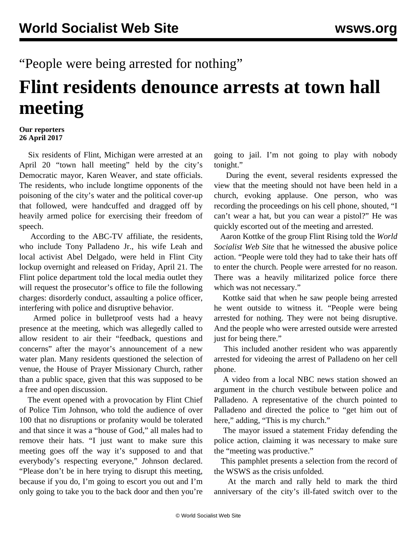## "People were being arrested for nothing"

## **Flint residents denounce arrests at town hall meeting**

## **Our reporters 26 April 2017**

 Six residents of Flint, Michigan were arrested at an April 20 "town hall meeting" held by the city's Democratic mayor, Karen Weaver, and state officials. The residents, who include longtime opponents of the poisoning of the city's water and the political cover-up that followed, were handcuffed and dragged off by heavily armed police for exercising their freedom of speech.

 According to the ABC-TV affiliate, the residents, who include Tony Palladeno Jr., his wife Leah and local activist Abel Delgado, were held in Flint City lockup overnight and released on Friday, April 21. The Flint police department told the local media outlet they will request the prosecutor's office to file the following charges: disorderly conduct, assaulting a police officer, interfering with police and disruptive behavior.

 Armed police in bulletproof vests had a heavy presence at the meeting, which was allegedly called to allow resident to air their "feedback, questions and concerns" after the mayor's announcement of a new water plan. Many residents questioned the selection of venue, the House of Prayer Missionary Church, rather than a public space, given that this was supposed to be a free and open discussion.

 The event opened with a provocation by Flint Chief of Police Tim Johnson, who told the audience of over 100 that no disruptions or profanity would be tolerated and that since it was a "house of God," all males had to remove their hats. "I just want to make sure this meeting goes off the way it's supposed to and that everybody's respecting everyone," Johnson declared. "Please don't be in here trying to disrupt this meeting, because if you do, I'm going to escort you out and I'm only going to take you to the back door and then you're

going to jail. I'm not going to play with nobody tonight."

 During the event, several residents expressed the view that the meeting should not have been held in a church, evoking applause. One person, who was recording the proceedings on his cell phone, shouted, "I can't wear a hat, but you can wear a pistol?" He was quickly escorted out of the meeting and arrested.

 Aaron Kottke of the group Flint Rising told the *World Socialist Web Site* that he witnessed the abusive police action. "People were told they had to take their hats off to enter the church. People were arrested for no reason. There was a heavily militarized police force there which was not necessary."

 Kottke said that when he saw people being arrested he went outside to witness it. "People were being arrested for nothing. They were not being disruptive. And the people who were arrested outside were arrested just for being there."

 This included another resident who was apparently arrested for videoing the arrest of Palladeno on her cell phone.

 A video from a local NBC news station showed an argument in the church vestibule between police and Palladeno. A representative of the church pointed to Palladeno and directed the police to "get him out of here," adding, "This is my church."

 The mayor issued a statement Friday defending the police action, claiming it was necessary to make sure the "meeting was productive."

 This pamphlet presents a selection from the record of the WSWS as the crisis unfolded.

 At the march and rally held to mark the third anniversary of the city's ill-fated switch over to the